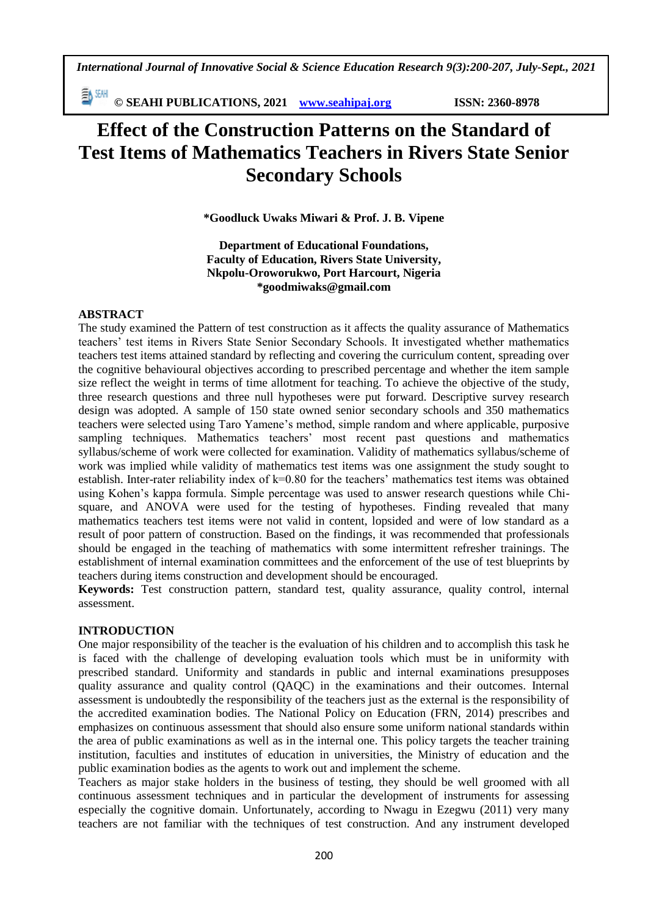*International Journal of Innovative Social & Science Education Research 9(3):200-207, July-Sept., 2021*

**© SEAHI PUBLICATIONS, 2021 [www.seahipaj.org](http://www.seahipaj.org/) ISSN: 2360-8978**

# **Effect of the Construction Patterns on the Standard of Test Items of Mathematics Teachers in Rivers State Senior Secondary Schools**

**\*Goodluck Uwaks Miwari & Prof. J. B. Vipene**

**Department of Educational Foundations, Faculty of Education, Rivers State University, Nkpolu-Oroworukwo, Port Harcourt, Nigeria \*goodmiwaks@gmail.com**

# **ABSTRACT**

The study examined the Pattern of test construction as it affects the quality assurance of Mathematics teachers' test items in Rivers State Senior Secondary Schools. It investigated whether mathematics teachers test items attained standard by reflecting and covering the curriculum content, spreading over the cognitive behavioural objectives according to prescribed percentage and whether the item sample size reflect the weight in terms of time allotment for teaching. To achieve the objective of the study, three research questions and three null hypotheses were put forward. Descriptive survey research design was adopted. A sample of 150 state owned senior secondary schools and 350 mathematics teachers were selected using Taro Yamene's method, simple random and where applicable, purposive sampling techniques. Mathematics teachers' most recent past questions and mathematics syllabus/scheme of work were collected for examination. Validity of mathematics syllabus/scheme of work was implied while validity of mathematics test items was one assignment the study sought to establish. Inter-rater reliability index of k=0.80 for the teachers' mathematics test items was obtained using Kohen's kappa formula. Simple percentage was used to answer research questions while Chisquare, and ANOVA were used for the testing of hypotheses. Finding revealed that many mathematics teachers test items were not valid in content, lopsided and were of low standard as a result of poor pattern of construction. Based on the findings, it was recommended that professionals should be engaged in the teaching of mathematics with some intermittent refresher trainings. The establishment of internal examination committees and the enforcement of the use of test blueprints by teachers during items construction and development should be encouraged.

**Keywords:** Test construction pattern, standard test, quality assurance, quality control, internal assessment.

### **INTRODUCTION**

One major responsibility of the teacher is the evaluation of his children and to accomplish this task he is faced with the challenge of developing evaluation tools which must be in uniformity with prescribed standard. Uniformity and standards in public and internal examinations presupposes quality assurance and quality control (QAQC) in the examinations and their outcomes. Internal assessment is undoubtedly the responsibility of the teachers just as the external is the responsibility of the accredited examination bodies. The National Policy on Education (FRN, 2014) prescribes and emphasizes on continuous assessment that should also ensure some uniform national standards within the area of public examinations as well as in the internal one. This policy targets the teacher training institution, faculties and institutes of education in universities, the Ministry of education and the public examination bodies as the agents to work out and implement the scheme.

Teachers as major stake holders in the business of testing, they should be well groomed with all continuous assessment techniques and in particular the development of instruments for assessing especially the cognitive domain. Unfortunately, according to Nwagu in Ezegwu (2011) very many teachers are not familiar with the techniques of test construction. And any instrument developed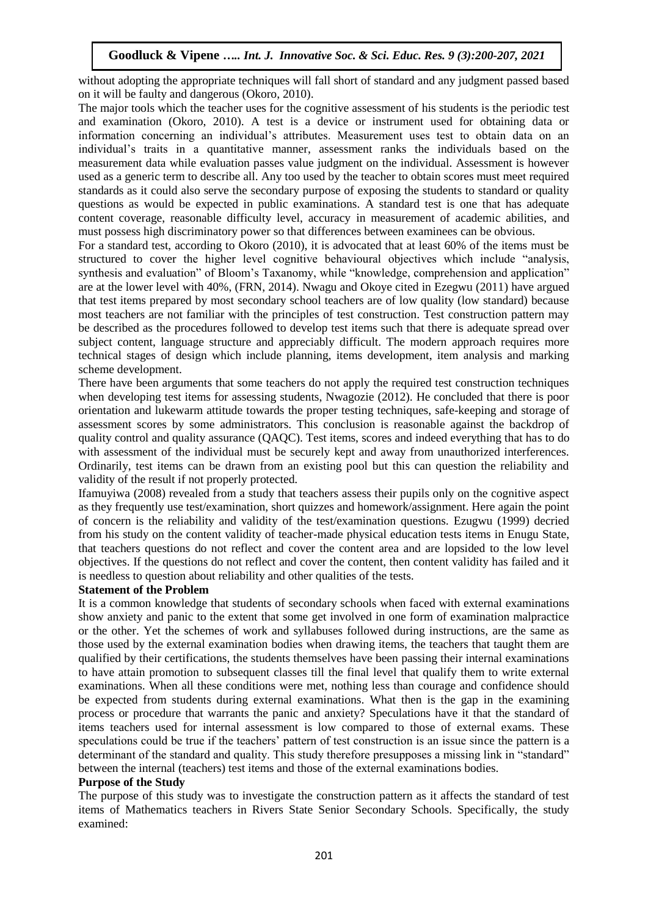without adopting the appropriate techniques will fall short of standard and any judgment passed based on it will be faulty and dangerous (Okoro, 2010).

The major tools which the teacher uses for the cognitive assessment of his students is the periodic test and examination (Okoro, 2010). A test is a device or instrument used for obtaining data or information concerning an individual's attributes. Measurement uses test to obtain data on an individual's traits in a quantitative manner, assessment ranks the individuals based on the measurement data while evaluation passes value judgment on the individual. Assessment is however used as a generic term to describe all. Any too used by the teacher to obtain scores must meet required standards as it could also serve the secondary purpose of exposing the students to standard or quality questions as would be expected in public examinations. A standard test is one that has adequate content coverage, reasonable difficulty level, accuracy in measurement of academic abilities, and must possess high discriminatory power so that differences between examinees can be obvious.

For a standard test, according to Okoro (2010), it is advocated that at least 60% of the items must be structured to cover the higher level cognitive behavioural objectives which include "analysis, synthesis and evaluation" of Bloom's Taxanomy, while "knowledge, comprehension and application" are at the lower level with 40%, (FRN, 2014). Nwagu and Okoye cited in Ezegwu (2011) have argued that test items prepared by most secondary school teachers are of low quality (low standard) because most teachers are not familiar with the principles of test construction. Test construction pattern may be described as the procedures followed to develop test items such that there is adequate spread over subject content, language structure and appreciably difficult. The modern approach requires more technical stages of design which include planning, items development, item analysis and marking scheme development.

There have been arguments that some teachers do not apply the required test construction techniques when developing test items for assessing students, Nwagozie (2012). He concluded that there is poor orientation and lukewarm attitude towards the proper testing techniques, safe-keeping and storage of assessment scores by some administrators. This conclusion is reasonable against the backdrop of quality control and quality assurance (QAQC). Test items, scores and indeed everything that has to do with assessment of the individual must be securely kept and away from unauthorized interferences. Ordinarily, test items can be drawn from an existing pool but this can question the reliability and validity of the result if not properly protected.

Ifamuyiwa (2008) revealed from a study that teachers assess their pupils only on the cognitive aspect as they frequently use test/examination, short quizzes and homework/assignment. Here again the point of concern is the reliability and validity of the test/examination questions. Ezugwu (1999) decried from his study on the content validity of teacher-made physical education tests items in Enugu State, that teachers questions do not reflect and cover the content area and are lopsided to the low level objectives. If the questions do not reflect and cover the content, then content validity has failed and it is needless to question about reliability and other qualities of the tests.

### **Statement of the Problem**

It is a common knowledge that students of secondary schools when faced with external examinations show anxiety and panic to the extent that some get involved in one form of examination malpractice or the other. Yet the schemes of work and syllabuses followed during instructions, are the same as those used by the external examination bodies when drawing items, the teachers that taught them are qualified by their certifications, the students themselves have been passing their internal examinations to have attain promotion to subsequent classes till the final level that qualify them to write external examinations. When all these conditions were met, nothing less than courage and confidence should be expected from students during external examinations. What then is the gap in the examining process or procedure that warrants the panic and anxiety? Speculations have it that the standard of items teachers used for internal assessment is low compared to those of external exams. These speculations could be true if the teachers' pattern of test construction is an issue since the pattern is a determinant of the standard and quality. This study therefore presupposes a missing link in "standard" between the internal (teachers) test items and those of the external examinations bodies.

### **Purpose of the Study**

The purpose of this study was to investigate the construction pattern as it affects the standard of test items of Mathematics teachers in Rivers State Senior Secondary Schools. Specifically, the study examined: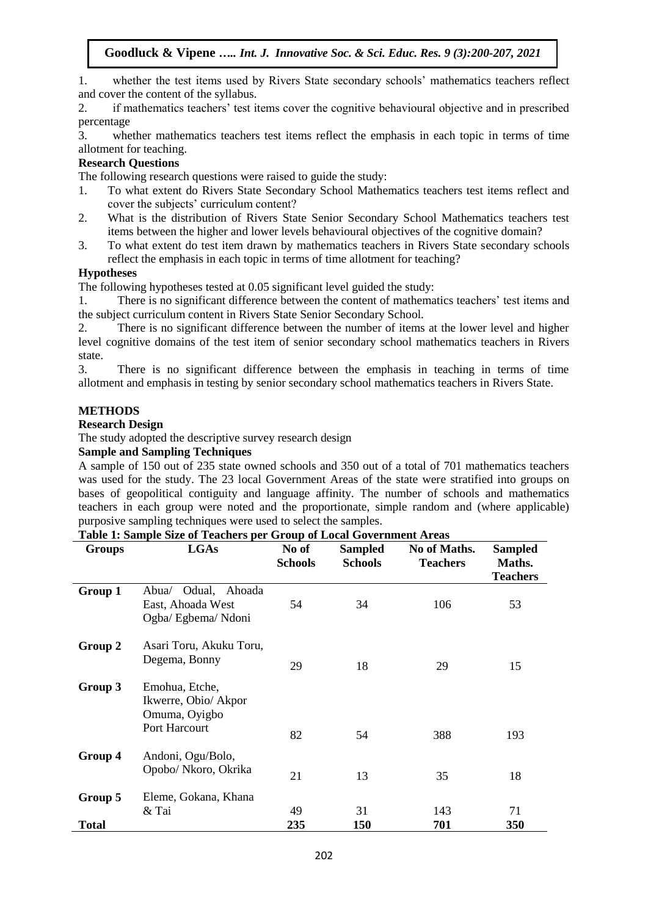1. whether the test items used by Rivers State secondary schools' mathematics teachers reflect and cover the content of the syllabus.

2. if mathematics teachers' test items cover the cognitive behavioural objective and in prescribed percentage

3. whether mathematics teachers test items reflect the emphasis in each topic in terms of time allotment for teaching.

# **Research Questions**

The following research questions were raised to guide the study:

- 1. To what extent do Rivers State Secondary School Mathematics teachers test items reflect and cover the subjects' curriculum content?
- 2. What is the distribution of Rivers State Senior Secondary School Mathematics teachers test items between the higher and lower levels behavioural objectives of the cognitive domain?
- 3. To what extent do test item drawn by mathematics teachers in Rivers State secondary schools reflect the emphasis in each topic in terms of time allotment for teaching?

# **Hypotheses**

The following hypotheses tested at 0.05 significant level guided the study:<br>1. There is no significant difference between the content of mathema There is no significant difference between the content of mathematics teachers' test items and the subject curriculum content in Rivers State Senior Secondary School.

2. There is no significant difference between the number of items at the lower level and higher level cognitive domains of the test item of senior secondary school mathematics teachers in Rivers state.

3. There is no significant difference between the emphasis in teaching in terms of time allotment and emphasis in testing by senior secondary school mathematics teachers in Rivers State.

# **METHODS**

### **Research Design**

The study adopted the descriptive survey research design

# **Sample and Sampling Techniques**

A sample of 150 out of 235 state owned schools and 350 out of a total of 701 mathematics teachers was used for the study. The 23 local Government Areas of the state were stratified into groups on bases of geopolitical contiguity and language affinity. The number of schools and mathematics teachers in each group were noted and the proportionate, simple random and (where applicable) purposive sampling techniques were used to select the samples.

**Sampled**

| <u>orompo</u>           |                                                                          | <b>Schools</b> | <b>Schools</b> | THE STATISTICS.<br><b>Teachers</b> | Maths.<br><b>Teachers</b> |
|-------------------------|--------------------------------------------------------------------------|----------------|----------------|------------------------------------|---------------------------|
| Group 1                 | Odual, Ahoada<br>Abua⁄<br>East, Ahoada West<br>Ogba/ Egbema/ Ndoni       | 54             | 34             | 106                                | 53                        |
| Group 2                 | Asari Toru, Akuku Toru,<br>Degema, Bonny                                 | 29             | 18             | 29                                 | 15                        |
| Group 3                 | Emohua, Etche,<br>Ikwerre, Obio/ Akpor<br>Omuma, Oyigbo<br>Port Harcourt | 82             | 54             | 388                                | 193                       |
| Group 4                 | Andoni, Ogu/Bolo,<br>Opobo/ Nkoro, Okrika                                | 21             | 13             | 35                                 | 18                        |
| Group 5<br><b>Total</b> | Eleme, Gokana, Khana<br>& Tai                                            | 49<br>235      | 31<br>150      | 143<br>701                         | 71<br>350                 |

#### **Table 1: Sample Size of Teachers per Group of Local Government Areas Groups LGAs No of Sampled No of Maths.**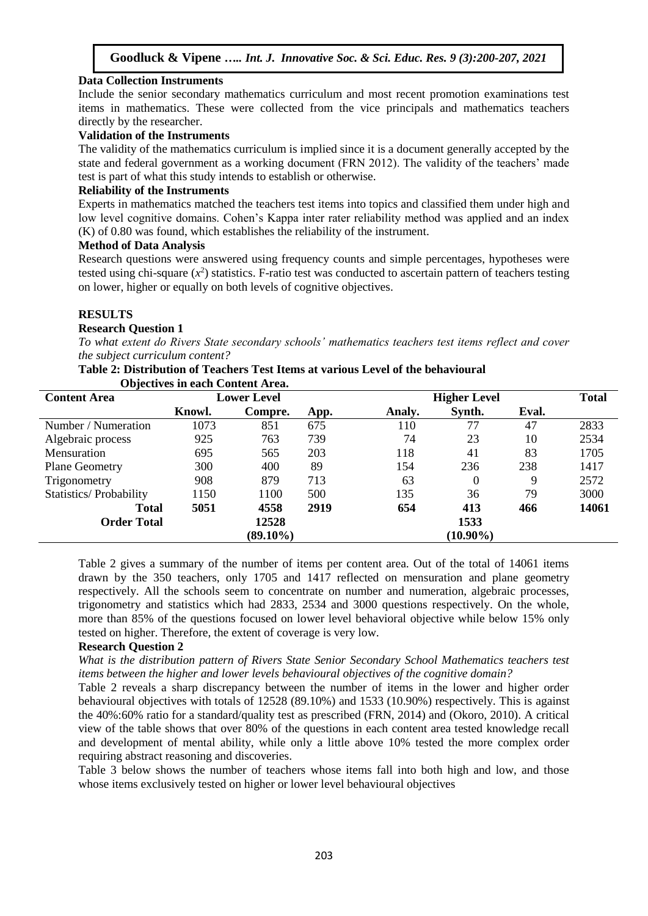### **Data Collection Instruments**

Include the senior secondary mathematics curriculum and most recent promotion examinations test items in mathematics. These were collected from the vice principals and mathematics teachers directly by the researcher.

#### **Validation of the Instruments**

The validity of the mathematics curriculum is implied since it is a document generally accepted by the state and federal government as a working document (FRN 2012). The validity of the teachers' made test is part of what this study intends to establish or otherwise.

#### **Reliability of the Instruments**

Experts in mathematics matched the teachers test items into topics and classified them under high and low level cognitive domains. Cohen's Kappa inter rater reliability method was applied and an index (K) of 0.80 was found, which establishes the reliability of the instrument.

#### **Method of Data Analysis**

Research questions were answered using frequency counts and simple percentages, hypotheses were tested using chi-square  $(x^2)$  statistics. F-ratio test was conducted to ascertain pattern of teachers testing on lower, higher or equally on both levels of cognitive objectives.

### **RESULTS**

#### **Research Question 1**

*To what extent do Rivers State secondary schools' mathematics teachers test items reflect and cover the subject curriculum content?*

#### **Table 2: Distribution of Teachers Test Items at various Level of the behavioural**

| <b>Objectives in each Content Area.</b> |        |                    |      |                     |              |       |       |  |  |
|-----------------------------------------|--------|--------------------|------|---------------------|--------------|-------|-------|--|--|
| <b>Content Area</b>                     |        | <b>Lower Level</b> |      | <b>Higher Level</b> | <b>Total</b> |       |       |  |  |
|                                         | Knowl. | Compre.            | App. | Analy.              | Synth.       | Eval. |       |  |  |
| Number / Numeration                     | 1073   | 851                | 675  | 110                 | 77           | 47    | 2833  |  |  |
| Algebraic process                       | 925    | 763                | 739  | 74                  | 23           | 10    | 2534  |  |  |
| Mensuration                             | 695    | 565                | 203  | 118                 | 41           | 83    | 1705  |  |  |
| <b>Plane Geometry</b>                   | 300    | 400                | 89   | 154                 | 236          | 238   | 1417  |  |  |
| Trigonometry                            | 908    | 879                | 713  | 63                  | $\Omega$     | 9     | 2572  |  |  |
| <b>Statistics/Probability</b>           | 1150   | 1100               | 500  | 135                 | 36           | 79    | 3000  |  |  |
| <b>Total</b>                            | 5051   | 4558               | 2919 | 654                 | 413          | 466   | 14061 |  |  |
| <b>Order Total</b>                      |        | 12528              |      |                     | 1533         |       |       |  |  |
|                                         |        | $(89.10\%)$        |      |                     | $(10.90\%)$  |       |       |  |  |

Table 2 gives a summary of the number of items per content area. Out of the total of 14061 items drawn by the 350 teachers, only 1705 and 1417 reflected on mensuration and plane geometry respectively. All the schools seem to concentrate on number and numeration, algebraic processes, trigonometry and statistics which had 2833, 2534 and 3000 questions respectively. On the whole, more than 85% of the questions focused on lower level behavioral objective while below 15% only tested on higher. Therefore, the extent of coverage is very low.

#### **Research Question 2**

*What is the distribution pattern of Rivers State Senior Secondary School Mathematics teachers test items between the higher and lower levels behavioural objectives of the cognitive domain?*

Table 2 reveals a sharp discrepancy between the number of items in the lower and higher order behavioural objectives with totals of 12528 (89.10%) and 1533 (10.90%) respectively. This is against the 40%:60% ratio for a standard/quality test as prescribed (FRN, 2014) and (Okoro, 2010). A critical view of the table shows that over 80% of the questions in each content area tested knowledge recall and development of mental ability, while only a little above 10% tested the more complex order requiring abstract reasoning and discoveries.

Table 3 below shows the number of teachers whose items fall into both high and low, and those whose items exclusively tested on higher or lower level behavioural objectives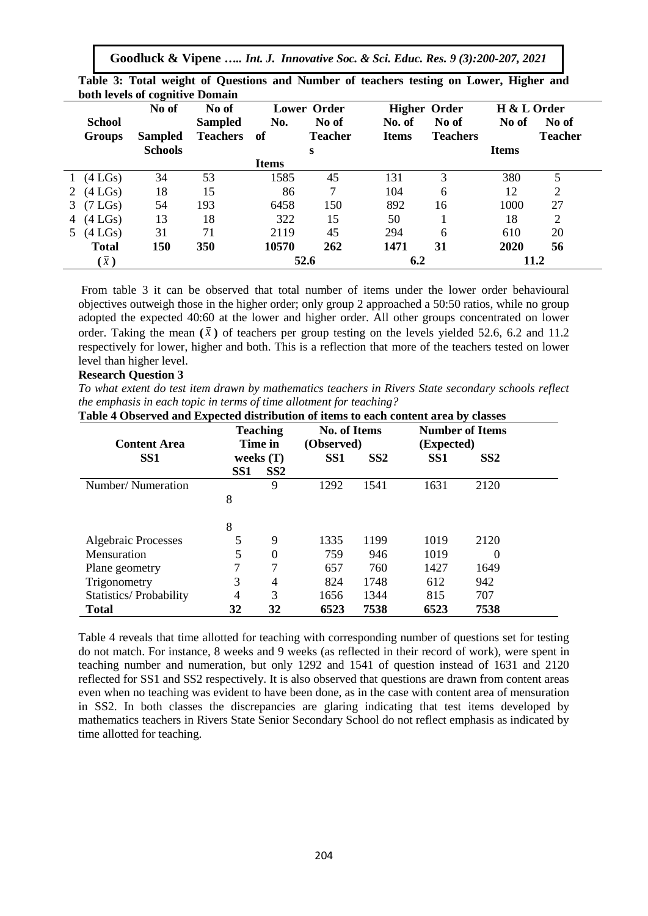**Goodluck & Vipene** *….. Int. J. Innovative Soc. & Sci. Educ. Res. 9 (3):200-207, 2021*

|   |                     | No of          | No of           | <b>Lower Order</b> |                |              | <b>Higher Order</b> | H & L Order  |                |
|---|---------------------|----------------|-----------------|--------------------|----------------|--------------|---------------------|--------------|----------------|
|   | <b>School</b>       |                | <b>Sampled</b>  | No.                | No of          | No. of       | No of               | No of        | No of          |
|   | <b>Groups</b>       | <b>Sampled</b> | <b>Teachers</b> | -of                | <b>Teacher</b> | <b>Items</b> | <b>Teachers</b>     |              | <b>Teacher</b> |
|   |                     | <b>Schools</b> |                 |                    | S              |              |                     | <b>Items</b> |                |
|   |                     |                |                 | <b>Items</b>       |                |              |                     |              |                |
|   | $(4\text{ LGs})$    | 34             | 53              | 1585               | 45             | 131          | 3                   | 380          |                |
| 2 | $(4$ LGs)           | 18             | 15              | 86                 | 7              | 104          | 6                   | 12           | 2              |
| 3 | (7 <sub>LGs</sub> ) | 54             | 193             | 6458               | 150            | 892          | 16                  | 1000         | 27             |
|   | (4LGs)              | 13             | 18              | 322                | 15             | 50           |                     | 18           | $\overline{2}$ |
|   | $(4\text{ LGs})$    | 31             | 71              | 2119               | 45             | 294          | 6                   | 610          | 20             |
|   | <b>Total</b>        | 150            | 350             | 10570              | 262            | 1471         | 31                  | 2020         | 56             |
|   | (x)                 |                |                 |                    | 52.6           | 6.2          |                     |              | 11.2           |

**Table 3: Total weight of Questions and Number of teachers testing on Lower, Higher and both levels of cognitive Domain**

From table 3 it can be observed that total number of items under the lower order behavioural objectives outweigh those in the higher order; only group 2 approached a 50:50 ratios, while no group adopted the expected 40:60 at the lower and higher order. All other groups concentrated on lower order. Taking the mean  $(\bar{x})$  of teachers per group testing on the levels yielded 52.6, 6.2 and 11.2 respectively for lower, higher and both. This is a reflection that more of the teachers tested on lower level than higher level.

#### **Research Question 3**

*To what extent do test item drawn by mathematics teachers in Rivers State secondary schools reflect the emphasis in each topic in terms of time allotment for teaching?*

|                            |                 | <b>Teaching</b> | <b>No. of Items</b> |                 |                 | <b>Number of Items</b> |  |
|----------------------------|-----------------|-----------------|---------------------|-----------------|-----------------|------------------------|--|
| <b>Content Area</b>        |                 | Time in         | (Observed)          |                 | (Expected)      |                        |  |
| SS <sub>1</sub>            |                 | weeks $(T)$     | SS <sub>1</sub>     | SS <sub>2</sub> | SS <sub>1</sub> | SS <sub>2</sub>        |  |
|                            | SS <sub>1</sub> | SS2             |                     |                 |                 |                        |  |
| Number/Numeration          |                 | 9               | 1292                | 1541            | 1631            | 2120                   |  |
|                            | 8               |                 |                     |                 |                 |                        |  |
|                            | 8               |                 |                     |                 |                 |                        |  |
| <b>Algebraic Processes</b> | 5               | 9               | 1335                | 1199            | 1019            | 2120                   |  |
| Mensuration                | 5               | $\theta$        | 759                 | 946             | 1019            | $\Omega$               |  |
| Plane geometry             | 7               | 7               | 657                 | 760             | 1427            | 1649                   |  |
| Trigonometry               | 3               | 4               | 824                 | 1748            | 612             | 942                    |  |
| Statistics/Probability     | 4               | 3               | 1656                | 1344            | 815             | 707                    |  |
| <b>Total</b>               | 32              | 32              | 6523                | 7538            | 6523            | 7538                   |  |

Table 4 reveals that time allotted for teaching with corresponding number of questions set for testing do not match. For instance, 8 weeks and 9 weeks (as reflected in their record of work), were spent in teaching number and numeration, but only 1292 and 1541 of question instead of 1631 and 2120 reflected for SS1 and SS2 respectively. It is also observed that questions are drawn from content areas even when no teaching was evident to have been done, as in the case with content area of mensuration in SS2. In both classes the discrepancies are glaring indicating that test items developed by mathematics teachers in Rivers State Senior Secondary School do not reflect emphasis as indicated by time allotted for teaching.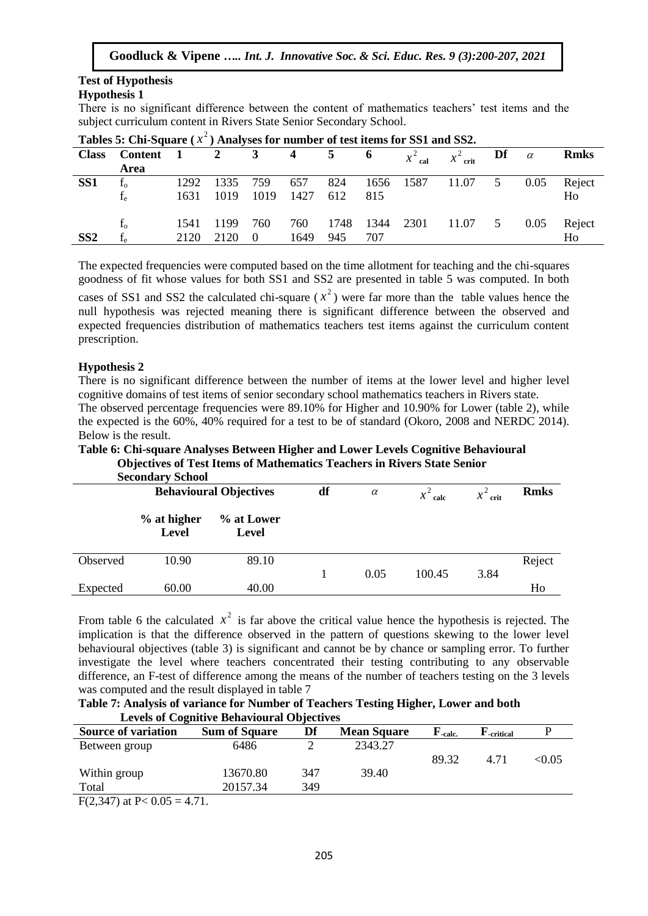# **Test of Hypothesis**

# **Hypothesis 1**

There is no significant difference between the content of mathematics teachers' test items and the subject curriculum content in Rivers State Senior Secondary School.

| <b>Lables 5.</b> CIII-5quale ( $\lambda$ ) Allaryses for number of test rights for SST and SSZ. |         |              |      |             |      |             |      |      |                      |             |      |             |
|-------------------------------------------------------------------------------------------------|---------|--------------|------|-------------|------|-------------|------|------|----------------------|-------------|------|-------------|
| <b>Class</b>                                                                                    | Content | $\mathbf{1}$ |      | $3^{\circ}$ | 4    | $5\qquad 6$ |      |      | $x^2$ cal $x^2$ crit | Df $\alpha$ |      | <b>Rmks</b> |
|                                                                                                 | Area    |              |      |             |      |             |      |      |                      |             |      |             |
| SS <sub>1</sub>                                                                                 | $f_{o}$ | 1292         | 1335 | 759         | 657  | 824         | 1656 | 1587 | 11.07                | 5           | 0.05 | Reject      |
|                                                                                                 | $f_e$   | 1631         | 1019 | 1019        | 1427 | 612         | 815  |      |                      |             |      | Ho          |
|                                                                                                 | $f_{o}$ | 1541         | 1199 | 760         | 760  | 1748        | 1344 | 2301 | 11.07                | 5           | 0.05 | Reject      |
| SS2                                                                                             | £<br>1e | 2120         | 2120 | $\theta$    | 1649 | 945         | 707  |      |                      |             |      | Ho          |

**Tables 5: Chi-Square (** 2 *x* **) Analyses for number of test items for SS1 and SS2.**

The expected frequencies were computed based on the time allotment for teaching and the chi-squares goodness of fit whose values for both SS1 and SS2 are presented in table 5 was computed. In both

cases of SS1 and SS2 the calculated chi-square  $(x^2)$  were far more than the table values hence the null hypothesis was rejected meaning there is significant difference between the observed and expected frequencies distribution of mathematics teachers test items against the curriculum content prescription.

# **Hypothesis 2**

There is no significant difference between the number of items at the lower level and higher level cognitive domains of test items of senior secondary school mathematics teachers in Rivers state. The observed percentage frequencies were 89.10% for Higher and 10.90% for Lower (table 2), while the expected is the 60%, 40% required for a test to be of standard (Okoro, 2008 and NERDC 2014).

Below is the result.

**Table 6: Chi-square Analyses Between Higher and Lower Levels Cognitive Behavioural Objectives of Test Items of Mathematics Teachers in Rivers State Senior**

|          | <b>Secondary School</b>       |                     |    |          |            |            |             |
|----------|-------------------------------|---------------------|----|----------|------------|------------|-------------|
|          | <b>Behavioural Objectives</b> |                     | df | $\alpha$ | $x^2$ calc | $x^2$ crit | <b>Rmks</b> |
|          | $%$ at higher<br><b>Level</b> | % at Lower<br>Level |    |          |            |            |             |
| Observed | 10.90                         | 89.10               |    |          |            |            | Reject      |
|          |                               |                     |    | 0.05     | 100.45     | 3.84       |             |
| Expected | 60.00                         | 40.00               |    |          |            |            | Ho          |

From table 6 the calculated  $x^2$  is far above the critical value hence the hypothesis is rejected. The implication is that the difference observed in the pattern of questions skewing to the lower level behavioural objectives (table 3) is significant and cannot be by chance or sampling error. To further investigate the level where teachers concentrated their testing contributing to any observable difference, an F-test of difference among the means of the number of teachers testing on the 3 levels was computed and the result displayed in table 7

**Table 7: Analysis of variance for Number of Teachers Testing Higher, Lower and both Levels of Cognitive Behavioural Objectives**

| <b>Source of variation</b>           | <b>Sum of Square</b> | Df  | <b>Mean Square</b> | $H$ -calc. | ${\bf F}_{\bf-critical}$ |        |
|--------------------------------------|----------------------|-----|--------------------|------------|--------------------------|--------|
| Between group                        | 6486                 |     | 2343.27            |            |                          |        |
|                                      |                      |     |                    | 89.32      | 4.71                     | < 0.05 |
| Within group                         | 13670.80             | 347 | 39.40              |            |                          |        |
| Total                                | 20157.34             | 349 |                    |            |                          |        |
| $\Gamma(2.347)$ of $D > 0.05 = 4.71$ |                      |     |                    |            |                          |        |

F(2,347) at P<  $0.05 = 4.71$ .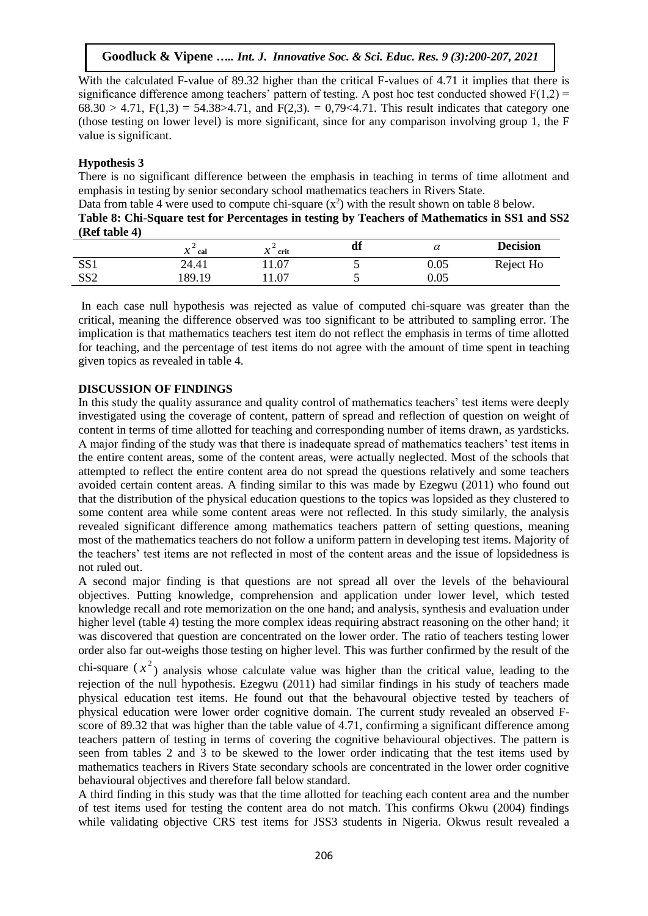With the calculated F-value of 89.32 higher than the critical F-values of 4.71 it implies that there is significance difference among teachers' pattern of testing. A post hoc test conducted showed  $F(1,2)$  =  $68.30 > 4.71$ ,  $F(1,3) = 54.38 > 4.71$ , and  $F(2,3) = 0.79 < 4.71$ . This result indicates that category one (those testing on lower level) is more significant, since for any comparison involving group 1, the F value is significant.

# **Hypothesis 3**

There is no significant difference between the emphasis in teaching in terms of time allotment and emphasis in testing by senior secondary school mathematics teachers in Rivers State.

Data from table 4 were used to compute chi-square  $(x^2)$  with the result shown on table 8 below.

**Table 8: Chi-Square test for Percentages in testing by Teachers of Mathematics in SS1 and SS2 (Ref table 4)**

|                 | 30<br>cal<br>⋏ | . .<br>crit<br>л | df | α        | <b>Decision</b> |
|-----------------|----------------|------------------|----|----------|-----------------|
| SS <sub>1</sub> | 24.41          | 11.07            |    | 0.05     | Reject Ho       |
| SS <sub>2</sub> | 189.19         | 11.07            |    | $0.05\,$ |                 |

In each case null hypothesis was rejected as value of computed chi-square was greater than the critical, meaning the difference observed was too significant to be attributed to sampling error. The implication is that mathematics teachers test item do not reflect the emphasis in terms of time allotted for teaching, and the percentage of test items do not agree with the amount of time spent in teaching given topics as revealed in table 4.

# **DISCUSSION OF FINDINGS**

In this study the quality assurance and quality control of mathematics teachers' test items were deeply investigated using the coverage of content, pattern of spread and reflection of question on weight of content in terms of time allotted for teaching and corresponding number of items drawn, as yardsticks. A major finding of the study was that there is inadequate spread of mathematics teachers' test items in the entire content areas, some of the content areas, were actually neglected. Most of the schools that attempted to reflect the entire content area do not spread the questions relatively and some teachers avoided certain content areas. A finding similar to this was made by Ezegwu (2011) who found out that the distribution of the physical education questions to the topics was lopsided as they clustered to some content area while some content areas were not reflected. In this study similarly, the analysis revealed significant difference among mathematics teachers pattern of setting questions, meaning most of the mathematics teachers do not follow a uniform pattern in developing test items. Majority of the teachers' test items are not reflected in most of the content areas and the issue of lopsidedness is not ruled out.

A second major finding is that questions are not spread all over the levels of the behavioural objectives. Putting knowledge, comprehension and application under lower level, which tested knowledge recall and rote memorization on the one hand; and analysis, synthesis and evaluation under higher level (table 4) testing the more complex ideas requiring abstract reasoning on the other hand; it was discovered that question are concentrated on the lower order. The ratio of teachers testing lower order also far out-weighs those testing on higher level. This was further confirmed by the result of the

chi-square  $(x^2)$  analysis whose calculate value was higher than the critical value, leading to the rejection of the null hypothesis. Ezegwu (2011) had similar findings in his study of teachers made physical education test items. He found out that the behavoural objective tested by teachers of physical education were lower order cognitive domain. The current study revealed an observed Fscore of 89.32 that was higher than the table value of 4.71, confirming a significant difference among teachers pattern of testing in terms of covering the cognitive behavioural objectives. The pattern is seen from tables 2 and 3 to be skewed to the lower order indicating that the test items used by mathematics teachers in Rivers State secondary schools are concentrated in the lower order cognitive behavioural objectives and therefore fall below standard.

A third finding in this study was that the time allotted for teaching each content area and the number of test items used for testing the content area do not match. This confirms Okwu (2004) findings while validating objective CRS test items for JSS3 students in Nigeria. Okwus result revealed a